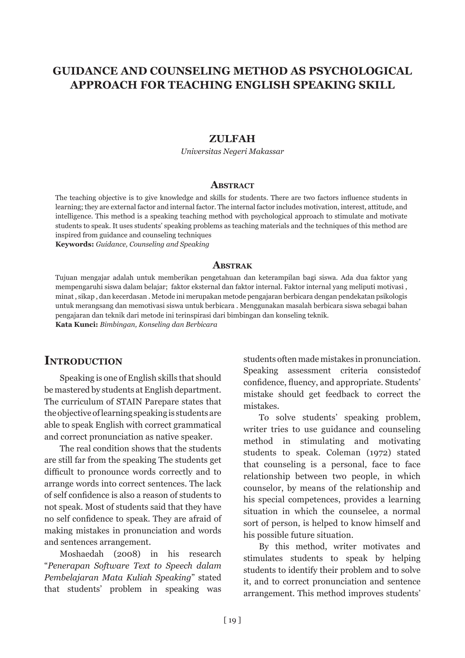# **GUIDANCE AND COUNSELING METHOD AS PSYCHOLOGICAL APPROACH FOR TEACHING ENGLISH SPEAKING SKILL**

#### **ZULFAH**

*Universitas Negeri Makassar*

#### **Abstract**

The teaching objective is to give knowledge and skills for students. There are two factors influence students in learning; they are external factor and internal factor. The internal factor includes motivation, interest, attitude, and intelligence. This method is a speaking teaching method with psychological approach to stimulate and motivate students to speak. It uses students' speaking problems as teaching materials and the techniques of this method are inspired from guidance and counseling techniques **Keywords:** *Guidance, Counseling and Speaking*

#### **Abstrak**

Tujuan mengajar adalah untuk memberikan pengetahuan dan keterampilan bagi siswa. Ada dua faktor yang mempengaruhi siswa dalam belajar; faktor eksternal dan faktor internal. Faktor internal yang meliputi motivasi , minat , sikap , dan kecerdasan . Metode ini merupakan metode pengajaran berbicara dengan pendekatan psikologis untuk merangsang dan memotivasi siswa untuk berbicara . Menggunakan masalah berbicara siswa sebagai bahan pengajaran dan teknik dari metode ini terinspirasi dari bimbingan dan konseling teknik. **Kata Kunci:** *Bimbingan, Konseling dan Berbicara*

#### **INTRODUCTION**

Speaking is one of English skills that should be mastered by students at English department. The curriculum of STAIN Parepare states that the objective of learning speaking is students are able to speak English with correct grammatical and correct pronunciation as native speaker.

The real condition shows that the students are still far from the speaking The students get difficult to pronounce words correctly and to arrange words into correct sentences. The lack of self confidence is also a reason of students to not speak. Most of students said that they have no self confidence to speak. They are afraid of making mistakes in pronunciation and words and sentences arrangement.

Moshaedah (2008) in his research "*Penerapan Software Text to Speech dalam Pembelajaran Mata Kuliah Speaking*" stated that students' problem in speaking was students often made mistakes in pronunciation. Speaking assessment criteria consistedof confidence, fluency, and appropriate. Students' mistake should get feedback to correct the mistakes.

To solve students' speaking problem, writer tries to use guidance and counseling method in stimulating and motivating students to speak. Coleman (1972) stated that counseling is a personal, face to face relationship between two people, in which counselor, by means of the relationship and his special competences, provides a learning situation in which the counselee, a normal sort of person, is helped to know himself and his possible future situation.

By this method, writer motivates and stimulates students to speak by helping students to identify their problem and to solve it, and to correct pronunciation and sentence arrangement. This method improves students'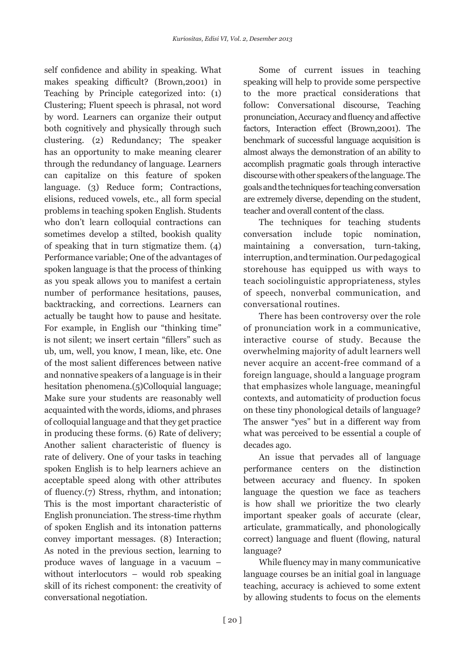self confidence and ability in speaking. What makes speaking difficult? (Brown,2001) in Teaching by Principle categorized into: (1) Clustering; Fluent speech is phrasal, not word by word. Learners can organize their output both cognitively and physically through such clustering. (2) Redundancy; The speaker has an opportunity to make meaning clearer through the redundancy of language. Learners can capitalize on this feature of spoken language. (3) Reduce form; Contractions, elisions, reduced vowels, etc., all form special problems in teaching spoken English. Students who don't learn colloquial contractions can sometimes develop a stilted, bookish quality of speaking that in turn stigmatize them. (4) Performance variable; One of the advantages of spoken language is that the process of thinking as you speak allows you to manifest a certain number of performance hesitations, pauses, backtracking, and corrections. Learners can actually be taught how to pause and hesitate. For example, in English our "thinking time" is not silent; we insert certain "fillers" such as ub, um, well, you know, I mean, like, etc. One of the most salient differences between native and nonnative speakers of a language is in their hesitation phenomena.(5)Colloquial language; Make sure your students are reasonably well acquainted with the words, idioms, and phrases of colloquial language and that they get practice in producing these forms. (6) Rate of delivery; Another salient characteristic of fluency is rate of delivery. One of your tasks in teaching spoken English is to help learners achieve an acceptable speed along with other attributes of fluency.(7) Stress, rhythm, and intonation; This is the most important characteristic of English pronunciation. The stress-time rhythm of spoken English and its intonation patterns convey important messages. (8) Interaction; As noted in the previous section, learning to produce waves of language in a vacuum – without interlocutors – would rob speaking skill of its richest component: the creativity of conversational negotiation.

Some of current issues in teaching speaking will help to provide some perspective to the more practical considerations that follow: Conversational discourse, Teaching pronunciation, Accuracy and fluency and affective factors, Interaction effect (Brown,2001). The benchmark of successful language acquisition is almost always the demonstration of an ability to accomplish pragmatic goals through interactive discourse with other speakers of the language. The goals and the techniques for teaching conversation are extremely diverse, depending on the student, teacher and overall content of the class.

The techniques for teaching students conversation include topic nomination, maintaining a conversation, turn-taking, interruption, and termination. Our pedagogical storehouse has equipped us with ways to teach sociolinguistic appropriateness, styles of speech, nonverbal communication, and conversational routines.

There has been controversy over the role of pronunciation work in a communicative, interactive course of study. Because the overwhelming majority of adult learners well never acquire an accent-free command of a foreign language, should a language program that emphasizes whole language, meaningful contexts, and automaticity of production focus on these tiny phonological details of language? The answer "yes" but in a different way from what was perceived to be essential a couple of decades ago.

An issue that pervades all of language performance centers on the distinction between accuracy and fluency. In spoken language the question we face as teachers is how shall we prioritize the two clearly important speaker goals of accurate (clear, articulate, grammatically, and phonologically correct) language and fluent (flowing, natural language?

While fluency may in many communicative language courses be an initial goal in language teaching, accuracy is achieved to some extent by allowing students to focus on the elements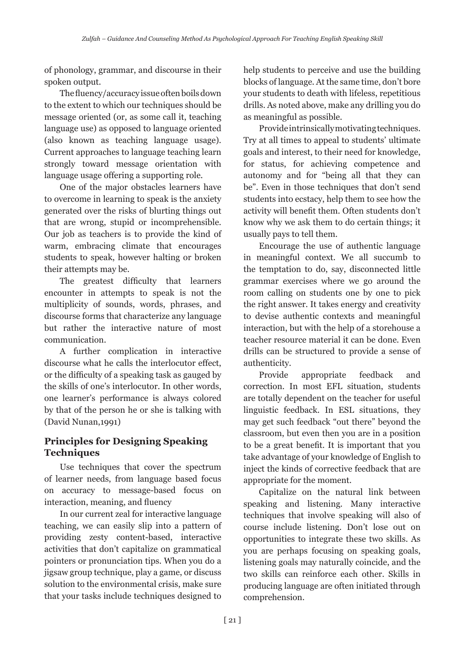of phonology, grammar, and discourse in their spoken output.

The fluency/accuracy issue often boils down to the extent to which our techniques should be message oriented (or, as some call it, teaching language use) as opposed to language oriented (also known as teaching language usage). Current approaches to language teaching learn strongly toward message orientation with language usage offering a supporting role.

One of the major obstacles learners have to overcome in learning to speak is the anxiety generated over the risks of blurting things out that are wrong, stupid or incomprehensible. Our job as teachers is to provide the kind of warm, embracing climate that encourages students to speak, however halting or broken their attempts may be.

The greatest difficulty that learners encounter in attempts to speak is not the multiplicity of sounds, words, phrases, and discourse forms that characterize any language but rather the interactive nature of most communication.

A further complication in interactive discourse what he calls the interlocutor effect, or the difficulty of a speaking task as gauged by the skills of one's interlocutor. In other words, one learner's performance is always colored by that of the person he or she is talking with (David Nunan,1991)

## **Principles for Designing Speaking Techniques**

Use techniques that cover the spectrum of learner needs, from language based focus on accuracy to message-based focus on interaction, meaning, and fluency

In our current zeal for interactive language teaching, we can easily slip into a pattern of providing zesty content-based, interactive activities that don't capitalize on grammatical pointers or pronunciation tips. When you do a jigsaw group technique, play a game, or discuss solution to the environmental crisis, make sure that your tasks include techniques designed to

help students to perceive and use the building blocks of language. At the same time, don't bore your students to death with lifeless, repetitious drills. As noted above, make any drilling you do as meaningful as possible.

Provide intrinsically motivating techniques. Try at all times to appeal to students' ultimate goals and interest, to their need for knowledge, for status, for achieving competence and autonomy and for "being all that they can be". Even in those techniques that don't send students into ecstacy, help them to see how the activity will benefit them. Often students don't know why we ask them to do certain things; it usually pays to tell them.

Encourage the use of authentic language in meaningful context. We all succumb to the temptation to do, say, disconnected little grammar exercises where we go around the room calling on students one by one to pick the right answer. It takes energy and creativity to devise authentic contexts and meaningful interaction, but with the help of a storehouse a teacher resource material it can be done. Even drills can be structured to provide a sense of authenticity.

Provide appropriate feedback and correction. In most EFL situation, students are totally dependent on the teacher for useful linguistic feedback. In ESL situations, they may get such feedback "out there" beyond the classroom, but even then you are in a position to be a great benefit. It is important that you take advantage of your knowledge of English to inject the kinds of corrective feedback that are appropriate for the moment.

Capitalize on the natural link between speaking and listening. Many interactive techniques that involve speaking will also of course include listening. Don't lose out on opportunities to integrate these two skills. As you are perhaps focusing on speaking goals, listening goals may naturally coincide, and the two skills can reinforce each other. Skills in producing language are often initiated through comprehension.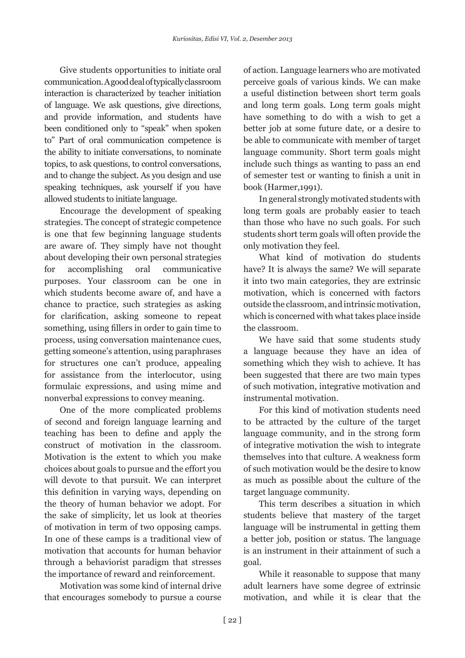Give students opportunities to initiate oral communication. A good deal of typically classroom interaction is characterized by teacher initiation of language. We ask questions, give directions, and provide information, and students have been conditioned only to "speak" when spoken to" Part of oral communication competence is the ability to initiate conversations, to nominate topics, to ask questions, to control conversations, and to change the subject. As you design and use speaking techniques, ask yourself if you have allowed students to initiate language.

Encourage the development of speaking strategies. The concept of strategic competence is one that few beginning language students are aware of. They simply have not thought about developing their own personal strategies for accomplishing oral communicative purposes. Your classroom can be one in which students become aware of, and have a chance to practice, such strategies as asking for clarification, asking someone to repeat something, using fillers in order to gain time to process, using conversation maintenance cues, getting someone's attention, using paraphrases for structures one can't produce, appealing for assistance from the interlocutor, using formulaic expressions, and using mime and nonverbal expressions to convey meaning.

One of the more complicated problems of second and foreign language learning and teaching has been to define and apply the construct of motivation in the classroom. Motivation is the extent to which you make choices about goals to pursue and the effort you will devote to that pursuit. We can interpret this definition in varying ways, depending on the theory of human behavior we adopt. For the sake of simplicity, let us look at theories of motivation in term of two opposing camps. In one of these camps is a traditional view of motivation that accounts for human behavior through a behaviorist paradigm that stresses the importance of reward and reinforcement.

Motivation was some kind of internal drive that encourages somebody to pursue a course of action. Language learners who are motivated perceive goals of various kinds. We can make a useful distinction between short term goals and long term goals. Long term goals might have something to do with a wish to get a better job at some future date, or a desire to be able to communicate with member of target language community. Short term goals might include such things as wanting to pass an end of semester test or wanting to finish a unit in book (Harmer,1991).

In general strongly motivated students with long term goals are probably easier to teach than those who have no such goals. For such students short term goals will often provide the only motivation they feel.

What kind of motivation do students have? It is always the same? We will separate it into two main categories, they are extrinsic motivation, which is concerned with factors outside the classroom, and intrinsic motivation, which is concerned with what takes place inside the classroom.

We have said that some students study a language because they have an idea of something which they wish to achieve. It has been suggested that there are two main types of such motivation, integrative motivation and instrumental motivation.

For this kind of motivation students need to be attracted by the culture of the target language community, and in the strong form of integrative motivation the wish to integrate themselves into that culture. A weakness form of such motivation would be the desire to know as much as possible about the culture of the target language community.

This term describes a situation in which students believe that mastery of the target language will be instrumental in getting them a better job, position or status. The language is an instrument in their attainment of such a goal.

While it reasonable to suppose that many adult learners have some degree of extrinsic motivation, and while it is clear that the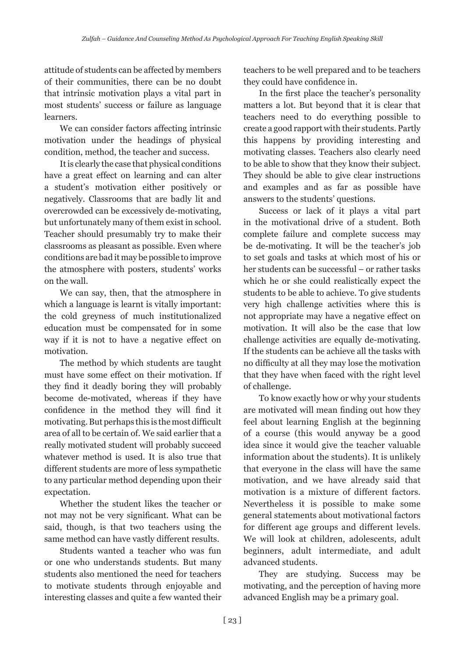attitude of students can be affected by members of their communities, there can be no doubt that intrinsic motivation plays a vital part in most students' success or failure as language learners.

We can consider factors affecting intrinsic motivation under the headings of physical condition, method, the teacher and success.

It is clearly the case that physical conditions have a great effect on learning and can alter a student's motivation either positively or negatively. Classrooms that are badly lit and overcrowded can be excessively de-motivating, but unfortunately many of them exist in school. Teacher should presumably try to make their classrooms as pleasant as possible. Even where conditions are bad it may be possible to improve the atmosphere with posters, students' works on the wall.

We can say, then, that the atmosphere in which a language is learnt is vitally important: the cold greyness of much institutionalized education must be compensated for in some way if it is not to have a negative effect on motivation.

The method by which students are taught must have some effect on their motivation. If they find it deadly boring they will probably become de-motivated, whereas if they have confidence in the method they will find it motivating. But perhaps this is the most difficult area of all to be certain of. We said earlier that a really motivated student will probably succeed whatever method is used. It is also true that different students are more of less sympathetic to any particular method depending upon their expectation.

Whether the student likes the teacher or not may not be very significant. What can be said, though, is that two teachers using the same method can have vastly different results.

Students wanted a teacher who was fun or one who understands students. But many students also mentioned the need for teachers to motivate students through enjoyable and interesting classes and quite a few wanted their

teachers to be well prepared and to be teachers they could have confidence in.

In the first place the teacher's personality matters a lot. But beyond that it is clear that teachers need to do everything possible to create a good rapport with their students. Partly this happens by providing interesting and motivating classes. Teachers also clearly need to be able to show that they know their subject. They should be able to give clear instructions and examples and as far as possible have answers to the students' questions.

Success or lack of it plays a vital part in the motivational drive of a student. Both complete failure and complete success may be de-motivating. It will be the teacher's job to set goals and tasks at which most of his or her students can be successful – or rather tasks which he or she could realistically expect the students to be able to achieve. To give students very high challenge activities where this is not appropriate may have a negative effect on motivation. It will also be the case that low challenge activities are equally de-motivating. If the students can be achieve all the tasks with no difficulty at all they may lose the motivation that they have when faced with the right level of challenge.

To know exactly how or why your students are motivated will mean finding out how they feel about learning English at the beginning of a course (this would anyway be a good idea since it would give the teacher valuable information about the students). It is unlikely that everyone in the class will have the same motivation, and we have already said that motivation is a mixture of different factors. Nevertheless it is possible to make some general statements about motivational factors for different age groups and different levels. We will look at children, adolescents, adult beginners, adult intermediate, and adult advanced students.

They are studying. Success may be motivating, and the perception of having more advanced English may be a primary goal.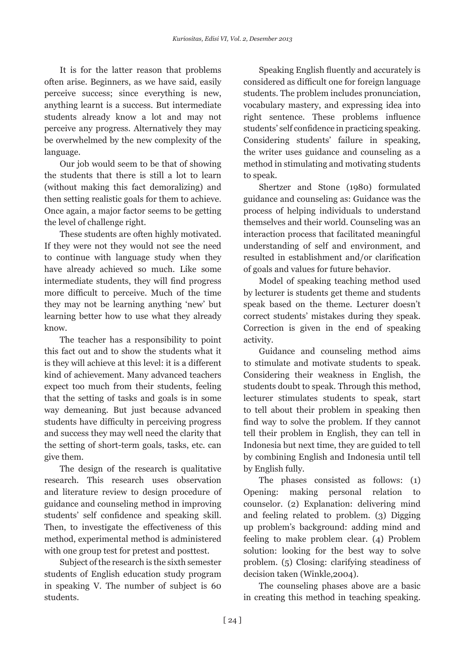It is for the latter reason that problems often arise. Beginners, as we have said, easily perceive success; since everything is new, anything learnt is a success. But intermediate students already know a lot and may not perceive any progress. Alternatively they may be overwhelmed by the new complexity of the language.

Our job would seem to be that of showing the students that there is still a lot to learn (without making this fact demoralizing) and then setting realistic goals for them to achieve. Once again, a major factor seems to be getting the level of challenge right.

These students are often highly motivated. If they were not they would not see the need to continue with language study when they have already achieved so much. Like some intermediate students, they will find progress more difficult to perceive. Much of the time they may not be learning anything 'new' but learning better how to use what they already know.

The teacher has a responsibility to point this fact out and to show the students what it is they will achieve at this level: it is a different kind of achievement. Many advanced teachers expect too much from their students, feeling that the setting of tasks and goals is in some way demeaning. But just because advanced students have difficulty in perceiving progress and success they may well need the clarity that the setting of short-term goals, tasks, etc. can give them.

The design of the research is qualitative research. This research uses observation and literature review to design procedure of guidance and counseling method in improving students' self confidence and speaking skill. Then, to investigate the effectiveness of this method, experimental method is administered with one group test for pretest and posttest.

Subject of the research is the sixth semester students of English education study program in speaking V. The number of subject is 60 students.

Speaking English fluently and accurately is considered as difficult one for foreign language students. The problem includes pronunciation, vocabulary mastery, and expressing idea into right sentence. These problems influence students' self confidence in practicing speaking. Considering students' failure in speaking, the writer uses guidance and counseling as a method in stimulating and motivating students to speak.

Shertzer and Stone (1980) formulated guidance and counseling as: Guidance was the process of helping individuals to understand themselves and their world. Counseling was an interaction process that facilitated meaningful understanding of self and environment, and resulted in establishment and/or clarification of goals and values for future behavior.

Model of speaking teaching method used by lecturer is students get theme and students speak based on the theme. Lecturer doesn't correct students' mistakes during they speak. Correction is given in the end of speaking activity.

Guidance and counseling method aims to stimulate and motivate students to speak. Considering their weakness in English, the students doubt to speak. Through this method, lecturer stimulates students to speak, start to tell about their problem in speaking then find way to solve the problem. If they cannot tell their problem in English, they can tell in Indonesia but next time, they are guided to tell by combining English and Indonesia until tell by English fully.

The phases consisted as follows: (1) Opening: making personal relation to counselor. (2) Explanation: delivering mind and feeling related to problem. (3) Digging up problem's background: adding mind and feeling to make problem clear. (4) Problem solution: looking for the best way to solve problem. (5) Closing: clarifying steadiness of decision taken (Winkle,2004).

The counseling phases above are a basic in creating this method in teaching speaking.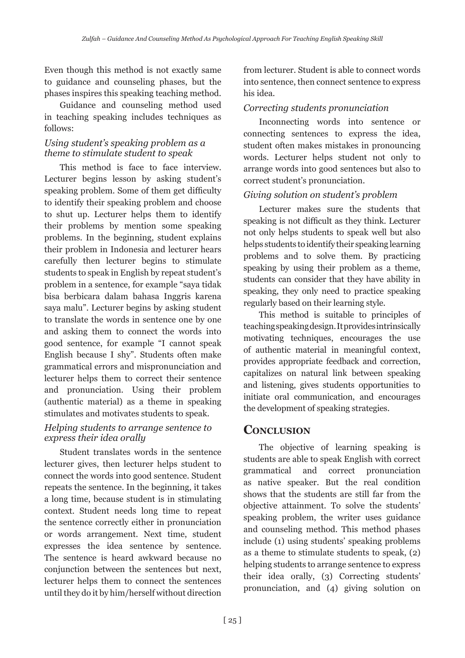Even though this method is not exactly same to guidance and counseling phases, but the phases inspires this speaking teaching method.

Guidance and counseling method used in teaching speaking includes techniques as follows:

### *Using student's speaking problem as a theme to stimulate student to speak*

This method is face to face interview. Lecturer begins lesson by asking student's speaking problem. Some of them get difficulty to identify their speaking problem and choose to shut up. Lecturer helps them to identify their problems by mention some speaking problems. In the beginning, student explains their problem in Indonesia and lecturer hears carefully then lecturer begins to stimulate students to speak in English by repeat student's problem in a sentence, for example "saya tidak bisa berbicara dalam bahasa Inggris karena saya malu". Lecturer begins by asking student to translate the words in sentence one by one and asking them to connect the words into good sentence, for example "I cannot speak English because I shy". Students often make grammatical errors and mispronunciation and lecturer helps them to correct their sentence and pronunciation. Using their problem (authentic material) as a theme in speaking stimulates and motivates students to speak.

### *Helping students to arrange sentence to express their idea orally*

Student translates words in the sentence lecturer gives, then lecturer helps student to connect the words into good sentence. Student repeats the sentence. In the beginning, it takes a long time, because student is in stimulating context. Student needs long time to repeat the sentence correctly either in pronunciation or words arrangement. Next time, student expresses the idea sentence by sentence. The sentence is heard awkward because no conjunction between the sentences but next, lecturer helps them to connect the sentences until they do it by him/herself without direction

from lecturer. Student is able to connect words into sentence, then connect sentence to express his idea.

## *Correcting students pronunciation*

Inconnecting words into sentence or connecting sentences to express the idea, student often makes mistakes in pronouncing words. Lecturer helps student not only to arrange words into good sentences but also to correct student's pronunciation.

## *Giving solution on student's problem*

Lecturer makes sure the students that speaking is not difficult as they think. Lecturer not only helps students to speak well but also helps students to identify their speaking learning problems and to solve them. By practicing speaking by using their problem as a theme, students can consider that they have ability in speaking, they only need to practice speaking regularly based on their learning style.

This method is suitable to principles of teaching speaking design. It provides intrinsically motivating techniques, encourages the use of authentic material in meaningful context, provides appropriate feedback and correction, capitalizes on natural link between speaking and listening, gives students opportunities to initiate oral communication, and encourages the development of speaking strategies.

## **Conclusion**

The objective of learning speaking is students are able to speak English with correct grammatical and correct pronunciation as native speaker. But the real condition shows that the students are still far from the objective attainment. To solve the students' speaking problem, the writer uses guidance and counseling method. This method phases include (1) using students' speaking problems as a theme to stimulate students to speak, (2) helping students to arrange sentence to express their idea orally, (3) Correcting students' pronunciation, and (4) giving solution on